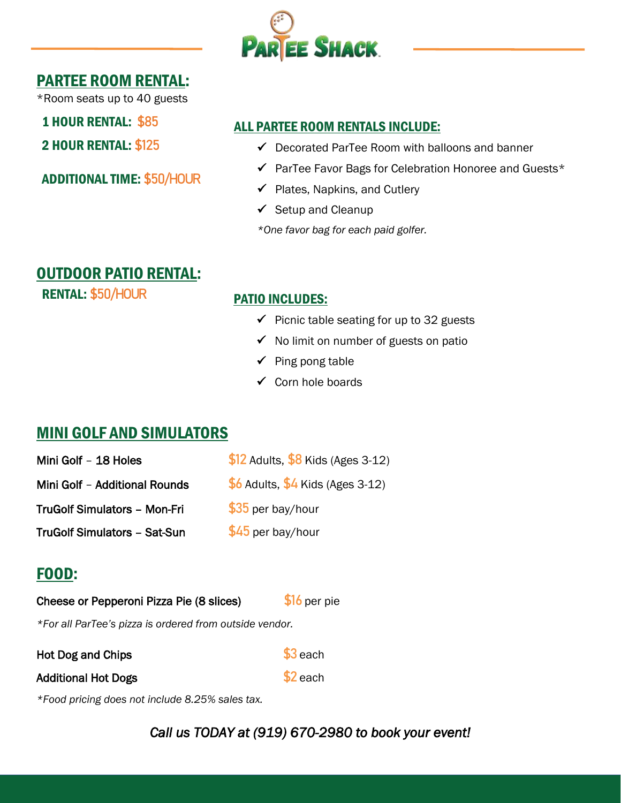

## PARTEE ROOM RENTAL:

\*Room seats up to 40 guests

1 HOUR RENTAL: **\$85** 

2 HOUR RENTAL: **\$125**

ADDITIONAL TIME: **\$50/HOUR**

### ALL PARTEE ROOM RENTALS INCLUDE:

- $\checkmark$  Decorated ParTee Room with balloons and banner
- ✓ ParTee Favor Bags for Celebration Honoree and Guests\*
- $\checkmark$  Plates, Napkins, and Cutlery
- $\checkmark$  Setup and Cleanup

*\*One favor bag for each paid golfer.*

# OUTDOOR PATIO RENTAL:

RENTAL: **\$50/HOUR** PATIO INCLUDES:

- $\checkmark$  Picnic table seating for up to 32 guests
- ✓ No limit on number of guests on patio
- ✓ Ping pong table
- ✓ Corn hole boards

# MINI GOLF AND SIMULATORS

| Mini Golf - 18 Holes          | $$12$ Adults, $$8$ Kids (Ages 3-12) |
|-------------------------------|-------------------------------------|
| Mini Golf - Additional Rounds | $$6$ Adults, $$4$ Kids (Ages 3-12)  |
| TruGolf Simulators - Mon-Fri  | \$35 per bay/hour                   |
| TruGolf Simulators - Sat-Sun  | \$45 per bay/hour                   |

# FOOD:

| Cheese or Pepperoni Pizza Pie (8 slices) | \$16 per pie |
|------------------------------------------|--------------|
|                                          |              |

*\*For all ParTee's pizza is ordered from outside vendor.*

Hot Dog and Chips **\$3** each

Additional Hot Dogs **\$2** each

*\*Food pricing does not include 8.25% sales tax.*

*Call us TODAY at (919) 670-2980 to book your event!*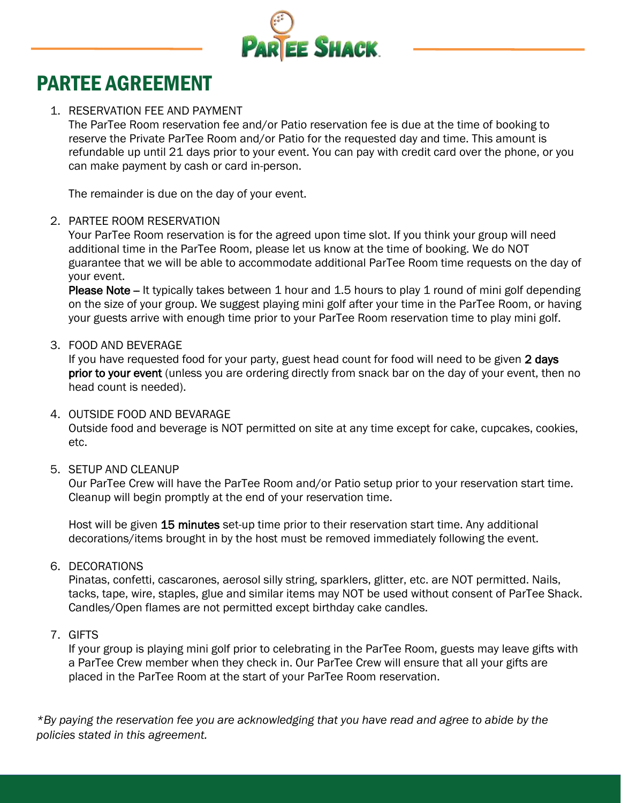

# PARTEE AGREEMENT

#### 1. RESERVATION FEE AND PAYMENT

The ParTee Room reservation fee and/or Patio reservation fee is due at the time of booking to reserve the Private ParTee Room and/or Patio for the requested day and time. This amount is refundable up until 21 days prior to your event. You can pay with credit card over the phone, or you can make payment by cash or card in-person.

The remainder is due on the day of your event.

#### 2. PARTEE ROOM RESERVATION

Your ParTee Room reservation is for the agreed upon time slot. If you think your group will need additional time in the ParTee Room, please let us know at the time of booking. We do NOT guarantee that we will be able to accommodate additional ParTee Room time requests on the day of your event.

Please Note - It typically takes between 1 hour and 1.5 hours to play 1 round of mini golf depending on the size of your group. We suggest playing mini golf after your time in the ParTee Room, or having your guests arrive with enough time prior to your ParTee Room reservation time to play mini golf.

#### 3. FOOD AND BEVERAGE

If you have requested food for your party, guest head count for food will need to be given 2 days prior to your event (unless you are ordering directly from snack bar on the day of your event, then no head count is needed).

#### 4. OUTSIDE FOOD AND BEVARAGE

Outside food and beverage is NOT permitted on site at any time except for cake, cupcakes, cookies, etc.

#### 5. SETUP AND CLEANUP

Our ParTee Crew will have the ParTee Room and/or Patio setup prior to your reservation start time. Cleanup will begin promptly at the end of your reservation time.

Host will be given 15 minutes set-up time prior to their reservation start time. Any additional decorations/items brought in by the host must be removed immediately following the event.

#### 6. DECORATIONS

Pinatas, confetti, cascarones, aerosol silly string, sparklers, glitter, etc. are NOT permitted. Nails, tacks, tape, wire, staples, glue and similar items may NOT be used without consent of ParTee Shack. Candles/Open flames are not permitted except birthday cake candles.

#### 7. GIFTS

If your group is playing mini golf prior to celebrating in the ParTee Room, guests may leave gifts with a ParTee Crew member when they check in. Our ParTee Crew will ensure that all your gifts are placed in the ParTee Room at the start of your ParTee Room reservation.

*\*By paying the reservation fee you are acknowledging that you have read and agree to abide by the policies stated in this agreement.*